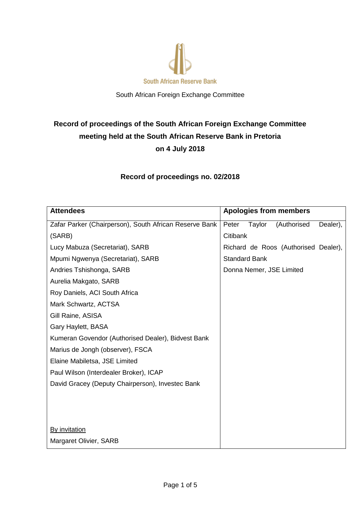

South African Foreign Exchange Committee

# **Record of proceedings of the South African Foreign Exchange Committee meeting held at the South African Reserve Bank in Pretoria on 4 July 2018**

**Record of proceedings no. 02/2018**

| <b>Attendees</b>                                       | <b>Apologies from members</b>              |
|--------------------------------------------------------|--------------------------------------------|
| Zafar Parker (Chairperson), South African Reserve Bank | Peter<br>Taylor<br>(Authorised<br>Dealer), |
| (SARB)                                                 | Citibank                                   |
| Lucy Mabuza (Secretariat), SARB                        | Richard de Roos (Authorised Dealer),       |
| Mpumi Ngwenya (Secretariat), SARB                      | <b>Standard Bank</b>                       |
| Andries Tshishonga, SARB                               | Donna Nemer, JSE Limited                   |
| Aurelia Makgato, SARB                                  |                                            |
| Roy Daniels, ACI South Africa                          |                                            |
| Mark Schwartz, ACTSA                                   |                                            |
| Gill Raine, ASISA                                      |                                            |
| Gary Haylett, BASA                                     |                                            |
| Kumeran Govendor (Authorised Dealer), Bidvest Bank     |                                            |
| Marius de Jongh (observer), FSCA                       |                                            |
| Elaine Mabiletsa, JSE Limited                          |                                            |
| Paul Wilson (Interdealer Broker), ICAP                 |                                            |
| David Gracey (Deputy Chairperson), Investec Bank       |                                            |
|                                                        |                                            |
|                                                        |                                            |
|                                                        |                                            |
| <b>By invitation</b>                                   |                                            |
| Margaret Olivier, SARB                                 |                                            |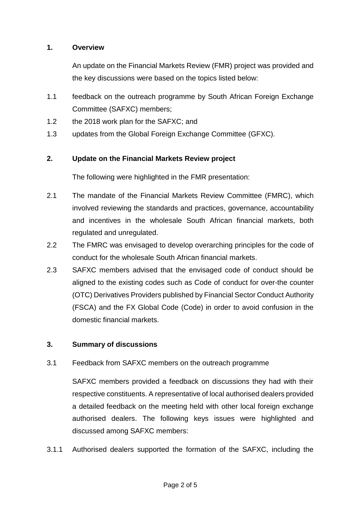## **1. Overview**

An update on the Financial Markets Review (FMR) project was provided and the key discussions were based on the topics listed below:

- 1.1 feedback on the outreach programme by South African Foreign Exchange Committee (SAFXC) members;
- 1.2 the 2018 work plan for the SAFXC; and
- 1.3 updates from the Global Foreign Exchange Committee (GFXC).

#### **2. Update on the Financial Markets Review project**

The following were highlighted in the FMR presentation:

- 2.1 The mandate of the Financial Markets Review Committee (FMRC), which involved reviewing the standards and practices, governance, accountability and incentives in the wholesale South African financial markets, both regulated and unregulated.
- 2.2 The FMRC was envisaged to develop overarching principles for the code of conduct for the wholesale South African financial markets.
- 2.3 SAFXC members advised that the envisaged code of conduct should be aligned to the existing codes such as Code of conduct for over-the counter (OTC) Derivatives Providers published by Financial Sector Conduct Authority (FSCA) and the FX Global Code (Code) in order to avoid confusion in the domestic financial markets.

## **3. Summary of discussions**

3.1 Feedback from SAFXC members on the outreach programme

SAFXC members provided a feedback on discussions they had with their respective constituents. A representative of local authorised dealers provided a detailed feedback on the meeting held with other local foreign exchange authorised dealers. The following keys issues were highlighted and discussed among SAFXC members:

3.1.1 Authorised dealers supported the formation of the SAFXC, including the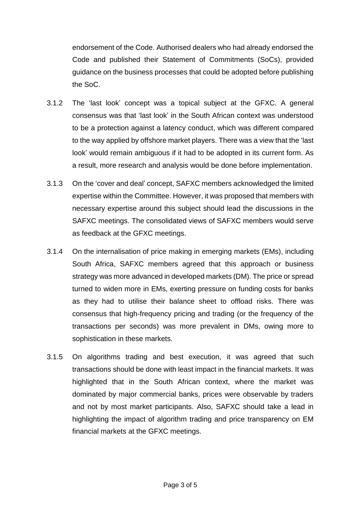endorsement of the Code. Authorised dealers who had already endorsed the Code and published their Statement of Commitments (SoCs), provided guidance on the business processes that could be adopted before publishing the SoC.

- 3.1.2 The 'last look' concept was a topical subject at the GFXC. A general consensus was that 'last look' in the South African context was understood to be a protection against a latency conduct, which was different compared to the way applied by offshore market players. There was a view that the 'last look' would remain ambiguous if it had to be adopted in its current form. As a result, more research and analysis would be done before implementation.
- 3.1.3 On the 'cover and deal' concept, SAFXC members acknowledged the limited expertise within the Committee. However, it was proposed that members with necessary expertise around this subject should lead the discussions in the SAFXC meetings. The consolidated views of SAFXC members would serve as feedback at the GFXC meetings.
- 3.1.4 On the internalisation of price making in emerging markets (EMs), including South Africa, SAFXC members agreed that this approach or business strategy was more advanced in developed markets (DM). The price or spread turned to widen more in EMs, exerting pressure on funding costs for banks as they had to utilise their balance sheet to offload risks. There was consensus that high-frequency pricing and trading (or the frequency of the transactions per seconds) was more prevalent in DMs, owing more to sophistication in these markets.
- 3.1.5 On algorithms trading and best execution, it was agreed that such transactions should be done with least impact in the financial markets. It was highlighted that in the South African context, where the market was dominated by major commercial banks, prices were observable by traders and not by most market participants. Also, SAFXC should take a lead in highlighting the impact of algorithm trading and price transparency on EM financial markets at the GFXC meetings.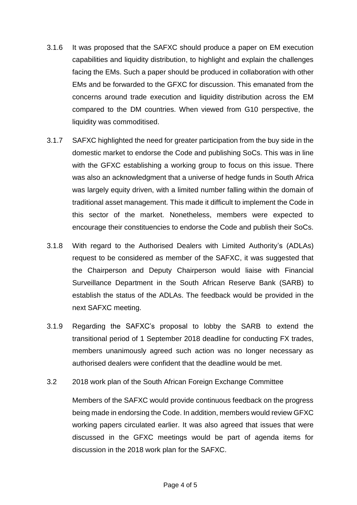- 3.1.6 It was proposed that the SAFXC should produce a paper on EM execution capabilities and liquidity distribution, to highlight and explain the challenges facing the EMs. Such a paper should be produced in collaboration with other EMs and be forwarded to the GFXC for discussion. This emanated from the concerns around trade execution and liquidity distribution across the EM compared to the DM countries. When viewed from G10 perspective, the liquidity was commoditised.
- 3.1.7 SAFXC highlighted the need for greater participation from the buy side in the domestic market to endorse the Code and publishing SoCs. This was in line with the GFXC establishing a working group to focus on this issue. There was also an acknowledgment that a universe of hedge funds in South Africa was largely equity driven, with a limited number falling within the domain of traditional asset management. This made it difficult to implement the Code in this sector of the market. Nonetheless, members were expected to encourage their constituencies to endorse the Code and publish their SoCs.
- 3.1.8 With regard to the Authorised Dealers with Limited Authority's (ADLAs) request to be considered as member of the SAFXC, it was suggested that the Chairperson and Deputy Chairperson would liaise with Financial Surveillance Department in the South African Reserve Bank (SARB) to establish the status of the ADLAs. The feedback would be provided in the next SAFXC meeting.
- 3.1.9 Regarding the SAFXC's proposal to lobby the SARB to extend the transitional period of 1 September 2018 deadline for conducting FX trades, members unanimously agreed such action was no longer necessary as authorised dealers were confident that the deadline would be met.
- 3.2 2018 work plan of the South African Foreign Exchange Committee

Members of the SAFXC would provide continuous feedback on the progress being made in endorsing the Code. In addition, members would review GFXC working papers circulated earlier. It was also agreed that issues that were discussed in the GFXC meetings would be part of agenda items for discussion in the 2018 work plan for the SAFXC.